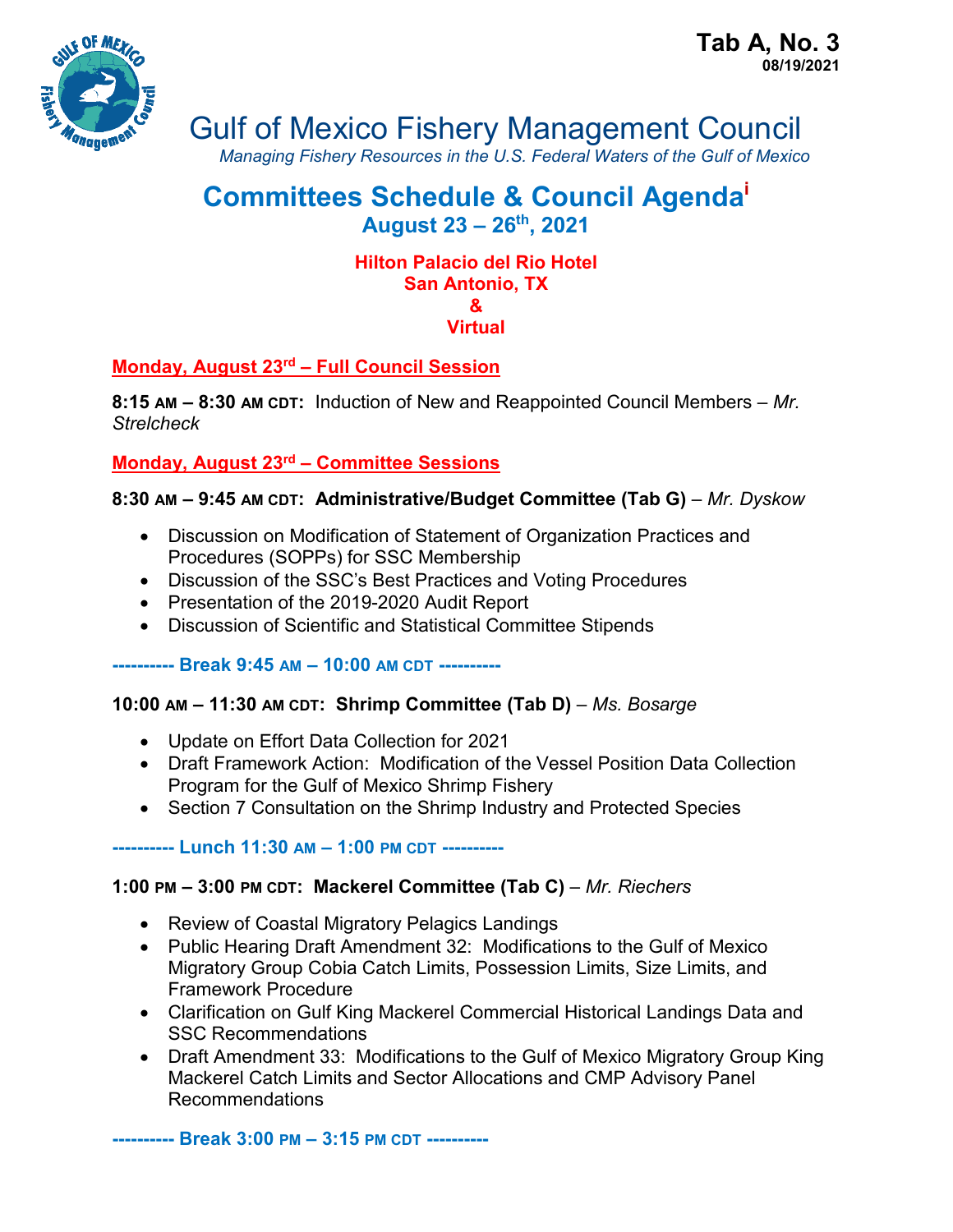

Gulf of Mexico Fishery Management Council

*Managing Fishery Resources in the U.S. Federal Waters of the Gulf of Mexico*

# **Committees Schedule & Council Agendai August 23 – 26th, 2021**

#### **Hilton Palacio del Rio Hotel San Antonio, TX & Virtual**

# **Monday, August 23rd – Full Council Session**

**8:15 AM – 8:30 AM CDT:** Induction of New and Reappointed Council Members – *Mr. Strelcheck*

# **Monday, August 23rd – Committee Sessions**

### **8:30 AM – 9:45 AM CDT: Administrative/Budget Committee (Tab G)** – *Mr. Dyskow*

- Discussion on Modification of Statement of Organization Practices and Procedures (SOPPs) for SSC Membership
- Discussion of the SSC's Best Practices and Voting Procedures
- Presentation of the 2019-2020 Audit Report
- Discussion of Scientific and Statistical Committee Stipends

#### **---------- Break 9:45 AM – 10:00 AM CDT ----------**

### **10:00 AM – 11:30 AM CDT: Shrimp Committee (Tab D)** – *Ms. Bosarge*

- Update on Effort Data Collection for 2021
- Draft Framework Action: Modification of the Vessel Position Data Collection Program for the Gulf of Mexico Shrimp Fishery
- Section 7 Consultation on the Shrimp Industry and Protected Species

#### **---------- Lunch 11:30 AM – 1:00 PM CDT ----------**

### **1:00 PM – 3:00 PM CDT: Mackerel Committee (Tab C)** – *Mr. Riechers*

- Review of Coastal Migratory Pelagics Landings
- Public Hearing Draft Amendment 32: Modifications to the Gulf of Mexico Migratory Group Cobia Catch Limits, Possession Limits, Size Limits, and Framework Procedure
- Clarification on Gulf King Mackerel Commercial Historical Landings Data and SSC Recommendations
- Draft Amendment 33: Modifications to the Gulf of Mexico Migratory Group King Mackerel Catch Limits and Sector Allocations and CMP Advisory Panel Recommendations

**---------- Break 3:00 PM – 3:15 PM CDT ----------**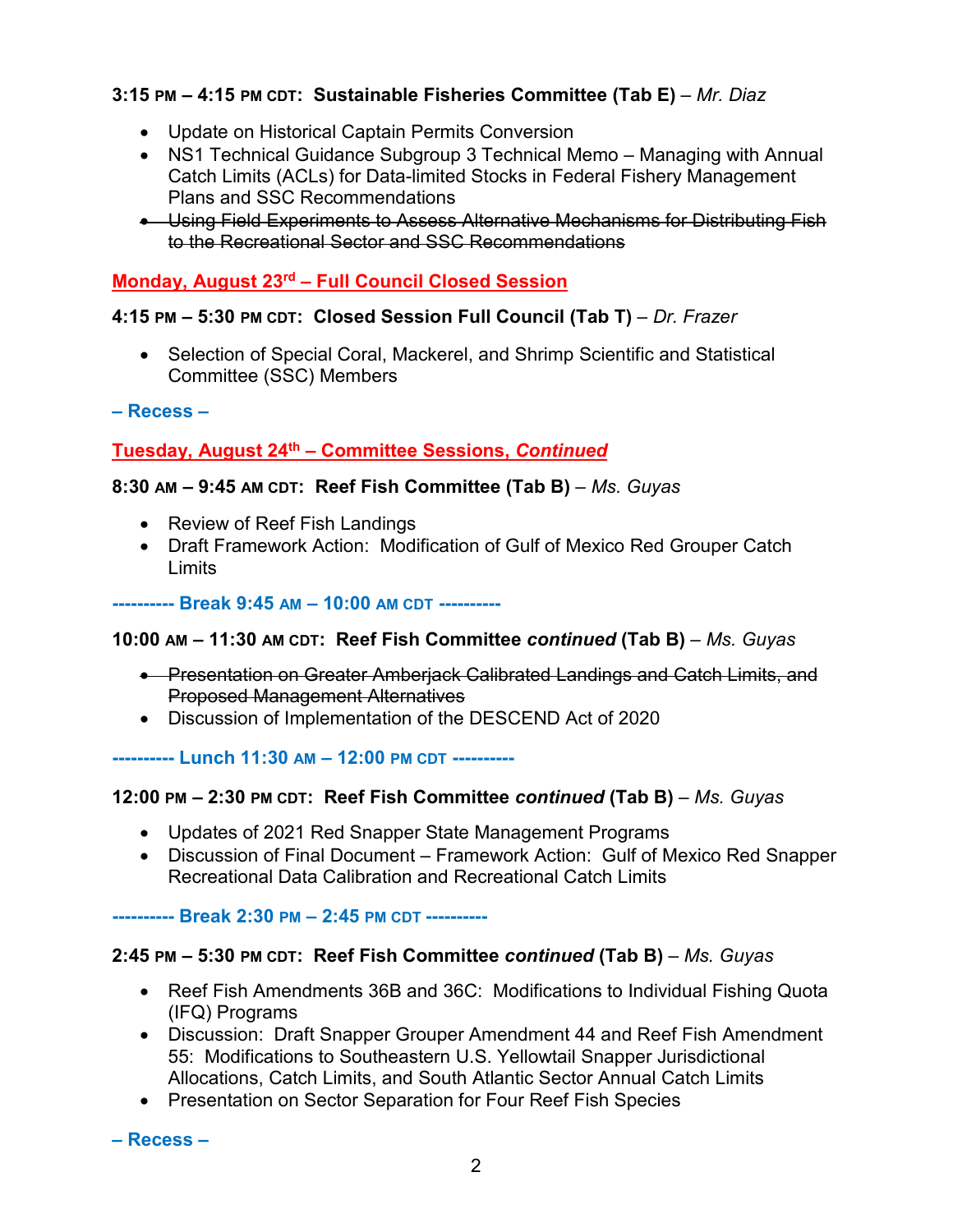# **3:15 PM – 4:15 PM CDT: Sustainable Fisheries Committee (Tab E)** – *Mr. Diaz*

- Update on Historical Captain Permits Conversion
- NS1 Technical Guidance Subgroup 3 Technical Memo Managing with Annual Catch Limits (ACLs) for Data-limited Stocks in Federal Fishery Management Plans and SSC Recommendations
- Using Field Experiments to Assess Alternative Mechanisms for Distributing Fish to the Recreational Sector and SSC Recommendations

### **Monday, August 23rd – Full Council Closed Session**

#### **4:15 PM – 5:30 PM CDT: Closed Session Full Council (Tab T)** – *Dr. Frazer*

• Selection of Special Coral, Mackerel, and Shrimp Scientific and Statistical Committee (SSC) Members

#### **– Recess –**

### **Tuesday, August 24th – Committee Sessions,** *Continued*

#### **8:30 AM – 9:45 AM CDT: Reef Fish Committee (Tab B)** – *Ms. Guyas*

- Review of Reef Fish Landings
- Draft Framework Action: Modification of Gulf of Mexico Red Grouper Catch **Limits**

**---------- Break 9:45 AM – 10:00 AM CDT ----------**

#### **10:00 AM – 11:30 AM CDT: Reef Fish Committee** *continued* **(Tab B)** – *Ms. Guyas*

- Presentation on Greater Amberjack Calibrated Landings and Catch Limits, and Proposed Management Alternatives
- Discussion of Implementation of the DESCEND Act of 2020

**---------- Lunch 11:30 AM – 12:00 PM CDT ----------**

#### **12:00 PM – 2:30 PM CDT: Reef Fish Committee** *continued* **(Tab B)** – *Ms. Guyas*

- Updates of 2021 Red Snapper State Management Programs
- Discussion of Final Document Framework Action: Gulf of Mexico Red Snapper Recreational Data Calibration and Recreational Catch Limits

**---------- Break 2:30 PM – 2:45 PM CDT ----------**

#### **2:45 PM – 5:30 PM CDT: Reef Fish Committee** *continued* **(Tab B)** – *Ms. Guyas*

- Reef Fish Amendments 36B and 36C: Modifications to Individual Fishing Quota (IFQ) Programs
- Discussion: Draft Snapper Grouper Amendment 44 and Reef Fish Amendment 55: Modifications to Southeastern U.S. Yellowtail Snapper Jurisdictional Allocations, Catch Limits, and South Atlantic Sector Annual Catch Limits
- Presentation on Sector Separation for Four Reef Fish Species

**– Recess –**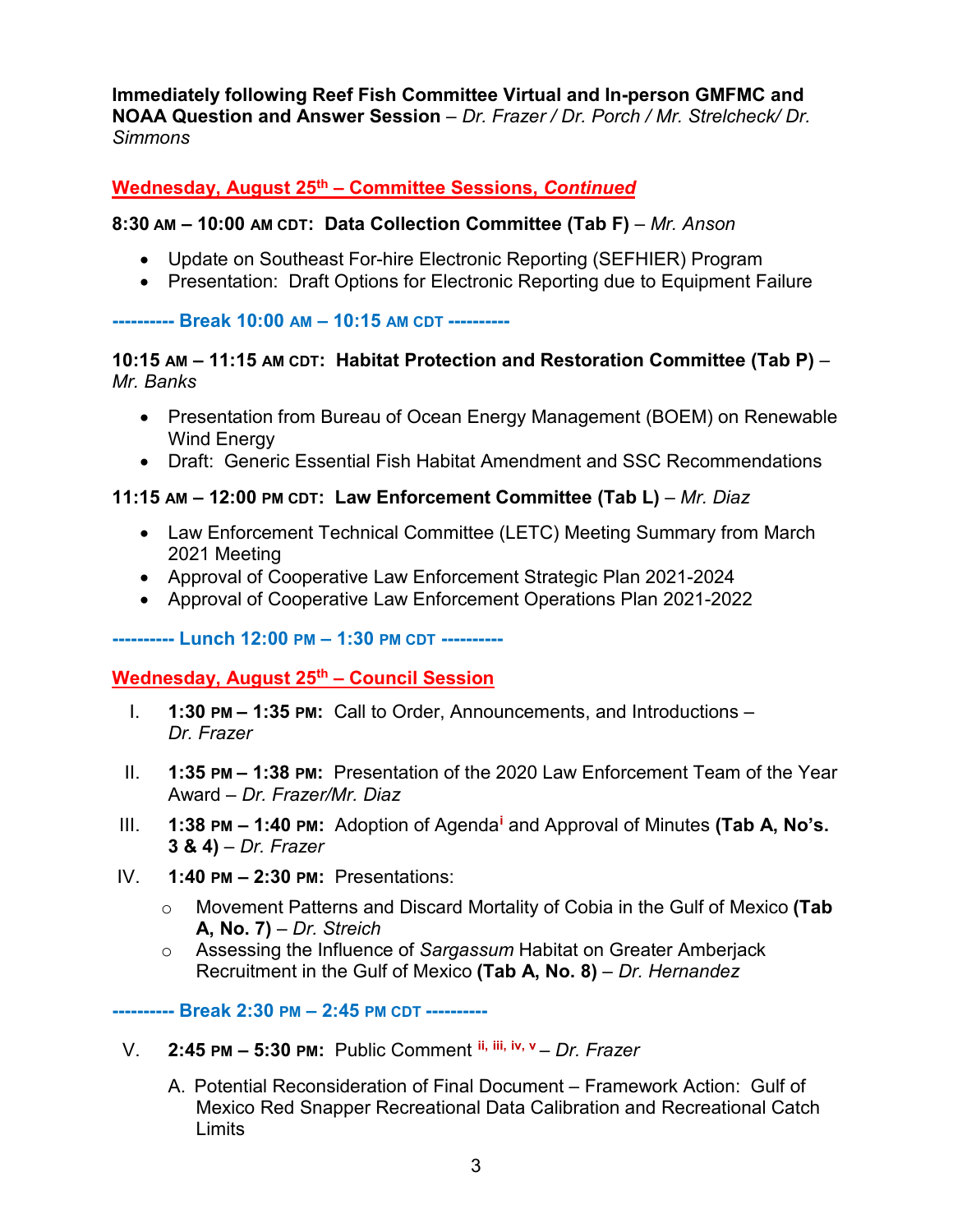**Immediately following Reef Fish Committee Virtual and In-person GMFMC and NOAA Question and Answer Session** *– Dr. Frazer / Dr. Porch / Mr. Strelcheck/ Dr. Simmons*

### **Wednesday, August 25th – Committee Sessions,** *Continued*

#### **8:30 AM – 10:00 AM CDT: Data Collection Committee (Tab F)** – *Mr. Anson*

- Update on Southeast For-hire Electronic Reporting (SEFHIER) Program
- Presentation: Draft Options for Electronic Reporting due to Equipment Failure

#### **---------- Break 10:00 AM – 10:15 AM CDT ----------**

#### **10:15 AM – 11:15 AM CDT: Habitat Protection and Restoration Committee (Tab P)** – *Mr. Banks*

- Presentation from Bureau of Ocean Energy Management (BOEM) on Renewable Wind Energy
- Draft: Generic Essential Fish Habitat Amendment and SSC Recommendations

#### **11:15 AM – 12:00 PM CDT: Law Enforcement Committee (Tab L)** – *Mr. Diaz*

- Law Enforcement Technical Committee (LETC) Meeting Summary from March 2021 Meeting
- Approval of Cooperative Law Enforcement Strategic Plan 2021-2024
- Approval of Cooperative Law Enforcement Operations Plan 2021-2022

#### **---------- Lunch 12:00 PM – 1:30 PM CDT ----------**

### **Wednesday, August 25th – Council Session**

- I. **1:30 PM – 1:35 PM:** Call to Order, Announcements, and Introductions *Dr. Frazer*
- II. **1:35 PM – 1:38 PM:** Presentation of the 2020 Law Enforcement Team of the Year Award – *Dr. Frazer/Mr. Diaz*
- III. **1:38 PM – 1:40 PM:** Adoption of Agenda**[i](#page-3-0)** and Approval of Minutes **(Tab A, No's. 3 & 4)** – *Dr. Frazer*
- IV. **1:40 PM – 2:30 PM:** Presentations:
	- o Movement Patterns and Discard Mortality of Cobia in the Gulf of Mexico **(Tab A, No. 7)** – *Dr. Streich*
	- o Assessing the Influence of *Sargassum* Habitat on Greater Amberjack Recruitment in the Gulf of Mexico **(Tab A, No. 8)** – *Dr. Hernandez*

**---------- Break 2:30 PM – 2:45 PM CDT ----------**

- V. **2:45 PM – 5:30 PM:** Public Comment **[ii,](#page-4-0) [iii,](#page-4-1) [iv](#page-4-2), [v](#page-4-3)** *Dr. Frazer*
	- A. Potential Reconsideration of Final Document Framework Action: Gulf of Mexico Red Snapper Recreational Data Calibration and Recreational Catch **Limits**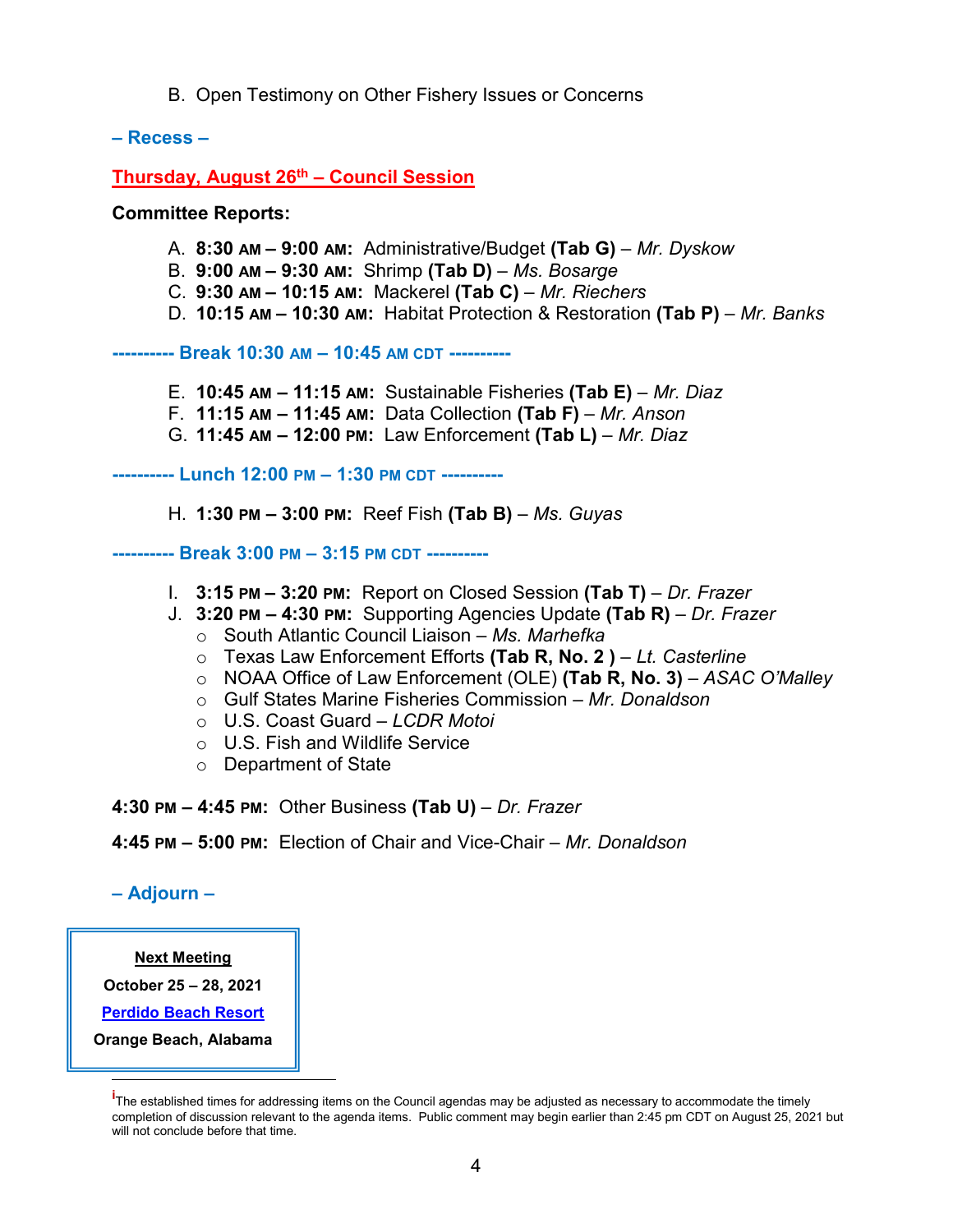B. Open Testimony on Other Fishery Issues or Concerns

**– Recess –**

**Thursday, August 26th – Council Session**

**Committee Reports:** 

- A. **8:30 AM – 9:00 AM:** Administrative/Budget **(Tab G)** *Mr. Dyskow*
- B. **9:00 AM – 9:30 AM:** Shrimp **(Tab D)** *Ms. Bosarge*
- C. **9:30 AM – 10:15 AM:** Mackerel **(Tab C)**  *Mr. Riechers*
- D. **10:15 AM – 10:30 AM:** Habitat Protection & Restoration **(Tab P)** *Mr. Banks*

**---------- Break 10:30 AM – 10:45 AM CDT ----------**

- E. **10:45 AM – 11:15 AM:** Sustainable Fisheries **(Tab E)**  *Mr. Diaz*
- F. **11:15 AM – 11:45 AM:** Data Collection **(Tab F)**  *Mr. Anson*
- G. **11:45 AM – 12:00 PM:** Law Enforcement **(Tab L)**  *Mr. Diaz*

**---------- Lunch 12:00 PM – 1:30 PM CDT ----------**

H. **1:30 PM – 3:00 PM:** Reef Fish **(Tab B)** – *Ms. Guyas*

**---------- Break 3:00 PM – 3:15 PM CDT ----------**

- I. **3:15 PM – 3:20 PM:** Report on Closed Session **(Tab T)**  *Dr. Frazer*
- J. **3:20 PM – 4:30 PM:** Supporting Agencies Update **(Tab R)**  *Dr. Frazer*
	- o South Atlantic Council Liaison *Ms. Marhefka*
	- o Texas Law Enforcement Efforts **(Tab R, No. 2 )** *Lt. Casterline*
	- o NOAA Office of Law Enforcement (OLE) **(Tab R, No. 3)** *ASAC O'Malley*
	- o Gulf States Marine Fisheries Commission *Mr. Donaldson*
	- o U.S. Coast Guard *LCDR Motoi*
	- o U.S. Fish and Wildlife Service
	- o Department of State

**4:30 PM – 4:45 PM:** Other Business **(Tab U)** – *Dr. Frazer*

**4:45 PM – 5:00 PM:** Election of Chair and Vice-Chair – *Mr. Donaldson* 

**– Adjourn –**

#### **Next Meeting**

**October 25 – 28, 2021**

**[Perdido Beach Resort](https://www.perdidobeachresort.com/?utm_source=google&utm_medium=organic&utm_campaign=business_listing)**

<span id="page-3-0"></span>**Orange Beach, Alabama**

Ï

**i** The established times for addressing items on the Council agendas may be adjusted as necessary to accommodate the timely completion of discussion relevant to the agenda items. Public comment may begin earlier than 2:45 pm CDT on August 25, 2021 but will not conclude before that time.